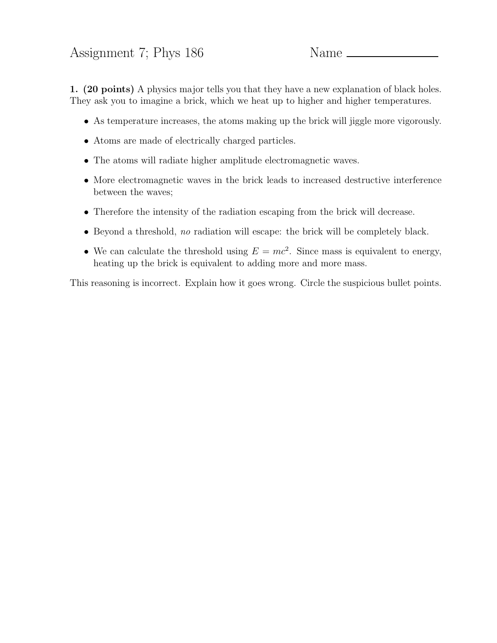## Assignment 7; Phys 186 Name

1. (20 points) A physics major tells you that they have a new explanation of black holes. They ask you to imagine a brick, which we heat up to higher and higher temperatures.

- As temperature increases, the atoms making up the brick will jiggle more vigorously.
- Atoms are made of electrically charged particles.
- The atoms will radiate higher amplitude electromagnetic waves.
- More electromagnetic waves in the brick leads to increased destructive interference between the waves;
- Therefore the intensity of the radiation escaping from the brick will decrease.
- Beyond a threshold, no radiation will escape: the brick will be completely black.
- We can calculate the threshold using  $E = mc^2$ . Since mass is equivalent to energy, heating up the brick is equivalent to adding more and more mass.

This reasoning is incorrect. Explain how it goes wrong. Circle the suspicious bullet points.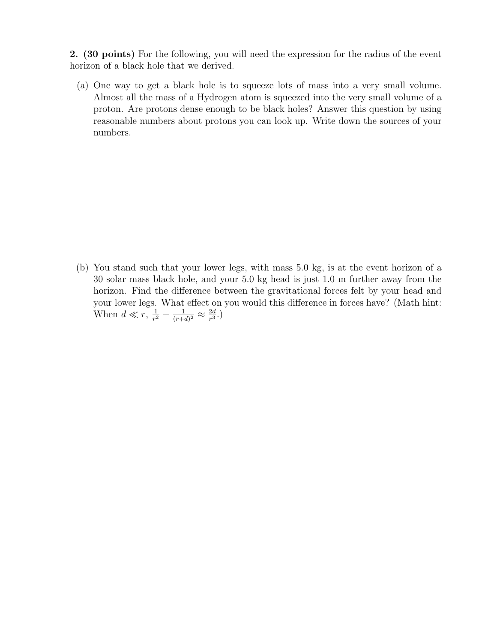2. (30 points) For the following, you will need the expression for the radius of the event horizon of a black hole that we derived.

(a) One way to get a black hole is to squeeze lots of mass into a very small volume. Almost all the mass of a Hydrogen atom is squeezed into the very small volume of a proton. Are protons dense enough to be black holes? Answer this question by using reasonable numbers about protons you can look up. Write down the sources of your numbers.

(b) You stand such that your lower legs, with mass 5.0 kg, is at the event horizon of a 30 solar mass black hole, and your 5.0 kg head is just 1.0 m further away from the horizon. Find the difference between the gravitational forces felt by your head and your lower legs. What effect on you would this difference in forces have? (Math hint: When  $d \ll r$ ,  $\frac{1}{r^2}$  $\frac{1}{r^2} - \frac{1}{(r+1)}$  $\frac{1}{(r+d)^2} \approx \frac{2d}{r^3}$  $\frac{2d}{r^3}$ .)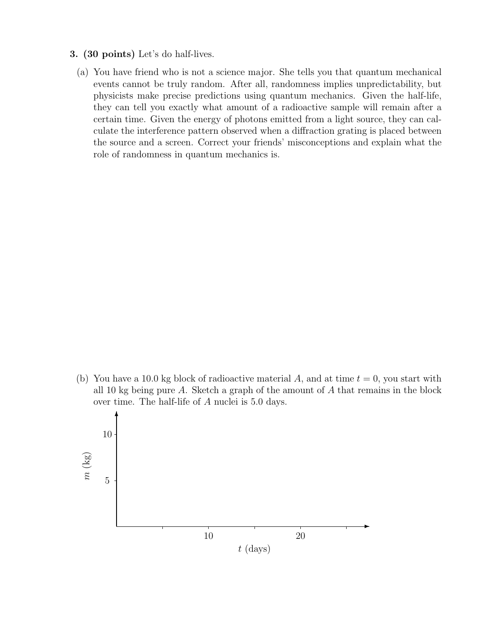- 3. (30 points) Let's do half-lives.
	- (a) You have friend who is not a science major. She tells you that quantum mechanical events cannot be truly random. After all, randomness implies unpredictability, but physicists make precise predictions using quantum mechanics. Given the half-life, they can tell you exactly what amount of a radioactive sample will remain after a certain time. Given the energy of photons emitted from a light source, they can calculate the interference pattern observed when a diffraction grating is placed between the source and a screen. Correct your friends' misconceptions and explain what the role of randomness in quantum mechanics is.

(b) You have a 10.0 kg block of radioactive material A, and at time  $t = 0$ , you start with all 10 kg being pure A. Sketch a graph of the amount of  $A$  that remains in the block over time. The half-life of A nuclei is 5.0 days.

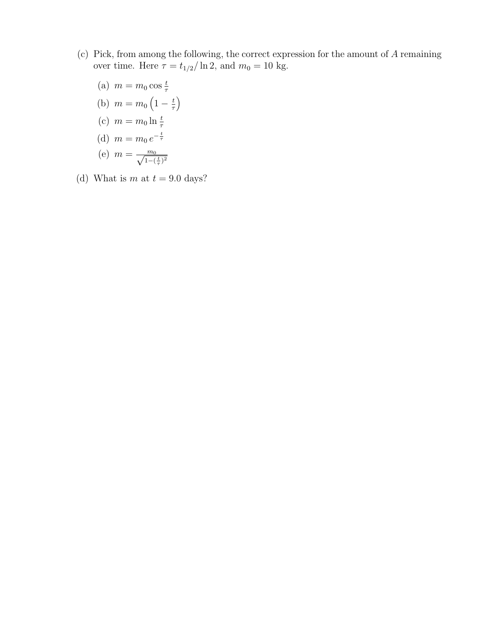- (c) Pick, from among the following, the correct expression for the amount of A remaining over time. Here  $\tau = t_{1/2}/\ln 2,$  and  $m_0 = 10$  kg.
	- (a)  $m = m_0 \cos \frac{t}{\tau}$ (b)  $m = m_0 \left( 1 - \frac{t}{\tau} \right)$
	- τ  $\setminus$
	- (c)  $m = m_0 \ln \frac{t}{\tau}$
	- (d)  $m = m_0 e^{-\frac{t}{\tau}}$
	- (e)  $m = \frac{m_0}{\sqrt{1-(\frac{t}{\tau})^2}}$
- (d) What is m at  $t = 9.0$  days?